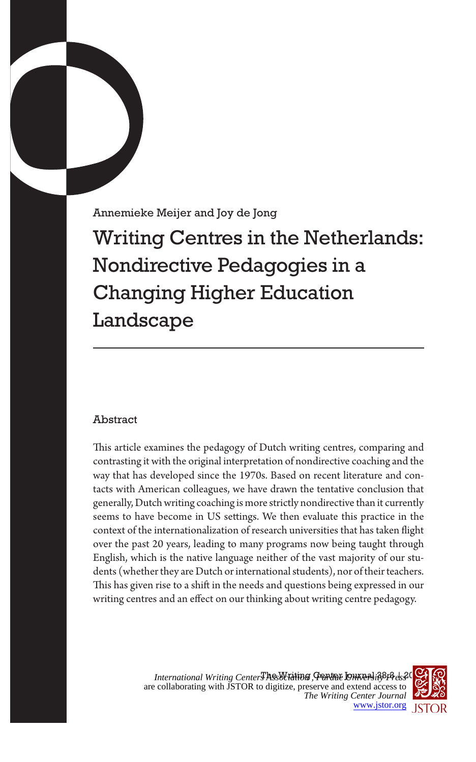Annemieke Meijer and Joy de Jong

Writing Centres in the Netherlands: Nondirective Pedagogies in a Changing Higher Education Landscape

## Abstract

This article examines the pedagogy of Dutch writing centres, comparing and contrasting it with the original interpretation of nondirective coaching and the way that has developed since the 1970s. Based on recent literature and contacts with American colleagues, we have drawn the tentative conclusion that generally, Dutch writing coaching is more strictly nondirective than it currently seems to have become in US settings. We then evaluate this practice in the context of the internationalization of research universities that has taken flight over the past 20 years, leading to many programs now being taught through English, which is the native language neither of the vast majority of our students (whether they are Dutch or international students), nor of their teachers. This has given rise to a shift in the needs and questions being expressed in our writing centres and an effect on our thinking about writing centre pedagogy.

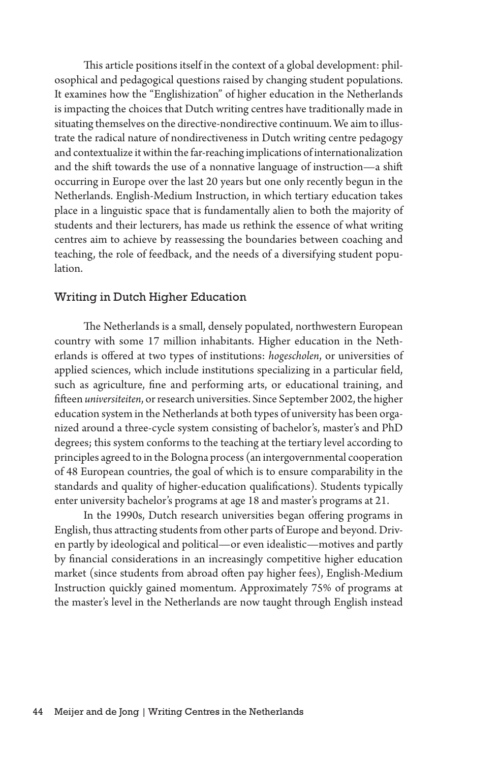This article positions itself in the context of a global development: philosophical and pedagogical questions raised by changing student populations. It examines how the "Englishization" of higher education in the Netherlands is impacting the choices that Dutch writing centres have traditionally made in situating themselves on the directive-nondirective continuum. We aim to illustrate the radical nature of nondirectiveness in Dutch writing centre pedagogy and contextualize it within the far-reaching implications of internationalization and the shift towards the use of a nonnative language of instruction—a shift occurring in Europe over the last 20 years but one only recently begun in the Netherlands. English-Medium Instruction, in which tertiary education takes place in a linguistic space that is fundamentally alien to both the majority of students and their lecturers, has made us rethink the essence of what writing centres aim to achieve by reassessing the boundaries between coaching and teaching, the role of feedback, and the needs of a diversifying student population.

## Writing in Dutch Higher Education

The Netherlands is a small, densely populated, northwestern European country with some 17 million inhabitants. Higher education in the Netherlands is offered at two types of institutions: *hogescholen*, or universities of applied sciences, which include institutions specializing in a particular field, such as agriculture, fine and performing arts, or educational training, and fifteen *universiteiten*, or research universities. Since September 2002, the higher education system in the Netherlands at both types of university has been organized around a three-cycle system consisting of bachelor's, master's and PhD degrees; this system conforms to the teaching at the tertiary level according to principles agreed to in the Bologna process (an intergovernmental cooperation of 48 European countries, the goal of which is to ensure comparability in the standards and quality of higher-education qualifications)*.* Students typically enter university bachelor's programs at age 18 and master's programs at 21.

In the 1990s, Dutch research universities began offering programs in English, thus attracting students from other parts of Europe and beyond. Driven partly by ideological and political—or even idealistic—motives and partly by financial considerations in an increasingly competitive higher education market (since students from abroad often pay higher fees), English-Medium Instruction quickly gained momentum. Approximately 75% of programs at the master's level in the Netherlands are now taught through English instead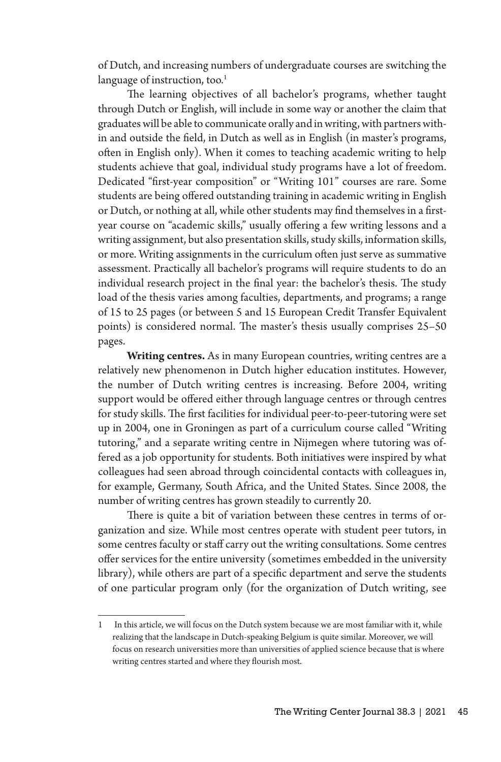of Dutch, and increasing numbers of undergraduate courses are switching the language of instruction, too. $<sup>1</sup>$ </sup>

The learning objectives of all bachelor's programs, whether taught through Dutch or English, will include in some way or another the claim that graduates will be able to communicate orally and in writing, with partners within and outside the field, in Dutch as well as in English (in master's programs, often in English only). When it comes to teaching academic writing to help students achieve that goal, individual study programs have a lot of freedom. Dedicated "first-year composition" or "Writing 101" courses are rare. Some students are being offered outstanding training in academic writing in English or Dutch, or nothing at all, while other students may find themselves in a firstyear course on "academic skills," usually offering a few writing lessons and a writing assignment, but also presentation skills, study skills, information skills, or more. Writing assignments in the curriculum often just serve as summative assessment. Practically all bachelor's programs will require students to do an individual research project in the final year: the bachelor's thesis. The study load of the thesis varies among faculties, departments, and programs; a range of 15 to 25 pages (or between 5 and 15 European Credit Transfer Equivalent points) is considered normal. The master's thesis usually comprises 25–50 pages.

**Writing centres.** As in many European countries, writing centres are a relatively new phenomenon in Dutch higher education institutes. However, the number of Dutch writing centres is increasing. Before 2004, writing support would be offered either through language centres or through centres for study skills. The first facilities for individual peer-to-peer-tutoring were set up in 2004, one in Groningen as part of a curriculum course called "Writing tutoring," and a separate writing centre in Nijmegen where tutoring was offered as a job opportunity for students. Both initiatives were inspired by what colleagues had seen abroad through coincidental contacts with colleagues in, for example, Germany, South Africa, and the United States. Since 2008, the number of writing centres has grown steadily to currently 20.

There is quite a bit of variation between these centres in terms of organization and size. While most centres operate with student peer tutors, in some centres faculty or staff carry out the writing consultations. Some centres offer services for the entire university (sometimes embedded in the university library), while others are part of a specific department and serve the students of one particular program only (for the organization of Dutch writing, see

<sup>1</sup> In this article, we will focus on the Dutch system because we are most familiar with it, while realizing that the landscape in Dutch-speaking Belgium is quite similar. Moreover, we will focus on research universities more than universities of applied science because that is where writing centres started and where they flourish most.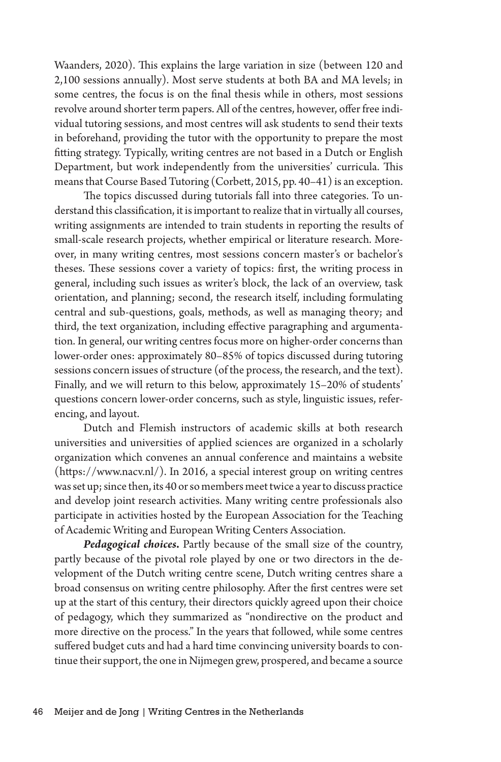Waanders, 2020). This explains the large variation in size (between 120 and 2,100 sessions annually). Most serve students at both BA and MA levels; in some centres, the focus is on the final thesis while in others, most sessions revolve around shorter term papers. All of the centres, however, offer free individual tutoring sessions, and most centres will ask students to send their texts in beforehand, providing the tutor with the opportunity to prepare the most fitting strategy. Typically, writing centres are not based in a Dutch or English Department, but work independently from the universities' curricula. This means that Course Based Tutoring (Corbett, 2015, pp. 40–41) is an exception.

The topics discussed during tutorials fall into three categories. To understand this classification, it is important to realize that in virtually all courses, writing assignments are intended to train students in reporting the results of small-scale research projects, whether empirical or literature research. Moreover, in many writing centres, most sessions concern master's or bachelor's theses. These sessions cover a variety of topics: first, the writing process in general, including such issues as writer's block, the lack of an overview, task orientation, and planning; second, the research itself, including formulating central and sub-questions, goals, methods, as well as managing theory; and third, the text organization, including effective paragraphing and argumentation. In general, our writing centres focus more on higher-order concerns than lower-order ones: approximately 80–85% of topics discussed during tutoring sessions concern issues of structure (of the process, the research, and the text). Finally, and we will return to this below, approximately 15–20% of students' questions concern lower-order concerns, such as style, linguistic issues, referencing, and layout.

Dutch and Flemish instructors of academic skills at both research universities and universities of applied sciences are organized in a scholarly organization which convenes an annual conference and maintains a website (https://www.nacv.nl/). In 2016, a special interest group on writing centres was set up; since then, its 40 or so members meet twice a year to discuss practice and develop joint research activities. Many writing centre professionals also participate in activities hosted by the European Association for the Teaching of Academic Writing and European Writing Centers Association.

*Pedagogical choices***.** Partly because of the small size of the country, partly because of the pivotal role played by one or two directors in the development of the Dutch writing centre scene, Dutch writing centres share a broad consensus on writing centre philosophy. After the first centres were set up at the start of this century, their directors quickly agreed upon their choice of pedagogy, which they summarized as "nondirective on the product and more directive on the process." In the years that followed, while some centres suffered budget cuts and had a hard time convincing university boards to continue their support, the one in Nijmegen grew, prospered, and became a source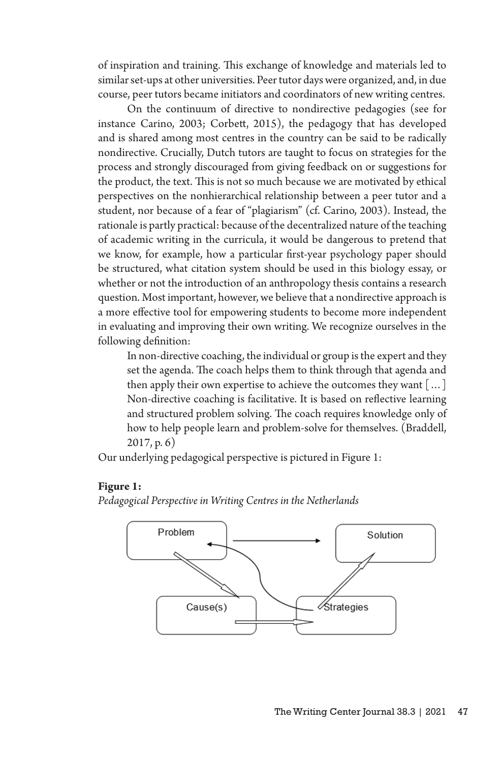of inspiration and training. This exchange of knowledge and materials led to similar set-ups at other universities. Peer tutor days were organized, and, in due course, peer tutors became initiators and coordinators of new writing centres.

On the continuum of directive to nondirective pedagogies (see for instance Carino, 2003; Corbett, 2015), the pedagogy that has developed and is shared among most centres in the country can be said to be radically nondirective. Crucially, Dutch tutors are taught to focus on strategies for the process and strongly discouraged from giving feedback on or suggestions for the product, the text. This is not so much because we are motivated by ethical perspectives on the nonhierarchical relationship between a peer tutor and a student, nor because of a fear of "plagiarism" (cf. Carino, 2003). Instead, the rationale is partly practical: because of the decentralized nature of the teaching of academic writing in the curricula, it would be dangerous to pretend that we know, for example, how a particular first-year psychology paper should be structured, what citation system should be used in this biology essay, or whether or not the introduction of an anthropology thesis contains a research question. Most important, however, we believe that a nondirective approach is a more effective tool for empowering students to become more independent in evaluating and improving their own writing. We recognize ourselves in the following definition:

In non-directive coaching, the individual or group is the expert and they set the agenda. The coach helps them to think through that agenda and then apply their own expertise to achieve the outcomes they want […] Non-directive coaching is facilitative. It is based on reflective learning and structured problem solving. The coach requires knowledge only of how to help people learn and problem-solve for themselves. (Braddell, 2017, p. 6)

Our underlying pedagogical perspective is pictured in Figure 1:

## **Figure 1:**

*Pedagogical Perspective in Writing Centres in the Netherlands*

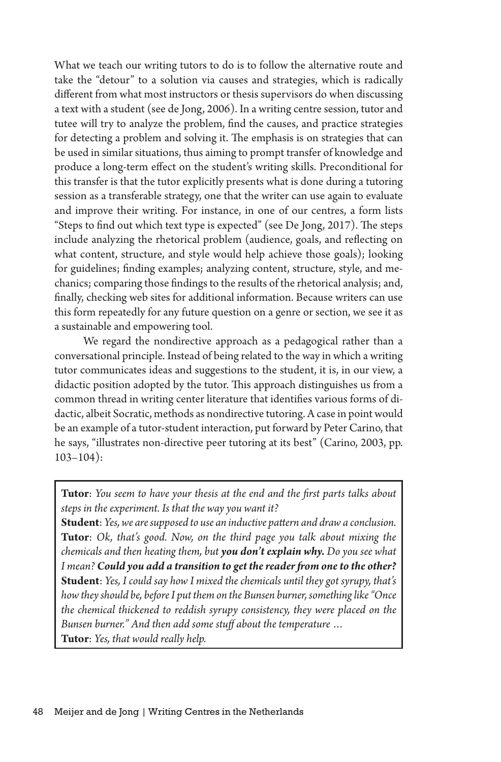What we teach our writing tutors to do is to follow the alternative route and take the "detour" to a solution via causes and strategies, which is radically different from what most instructors or thesis supervisors do when discussing a text with a student (see de Jong, 2006). In a writing centre session, tutor and tutee will try to analyze the problem, find the causes, and practice strategies for detecting a problem and solving it. The emphasis is on strategies that can be used in similar situations, thus aiming to prompt transfer of knowledge and produce a long-term effect on the student's writing skills. Preconditional for this transfer is that the tutor explicitly presents what is done during a tutoring session as a transferable strategy, one that the writer can use again to evaluate and improve their writing. For instance, in one of our centres, a form lists "Steps to find out which text type is expected" (see De Jong, 2017). The steps include analyzing the rhetorical problem (audience, goals, and reflecting on what content, structure, and style would help achieve those goals); looking for guidelines; finding examples; analyzing content, structure, style, and mechanics; comparing those findings to the results of the rhetorical analysis; and, finally, checking web sites for additional information. Because writers can use this form repeatedly for any future question on a genre or section, we see it as a sustainable and empowering tool.

We regard the nondirective approach as a pedagogical rather than a conversational principle. Instead of being related to the way in which a writing tutor communicates ideas and suggestions to the student, it is, in our view, a didactic position adopted by the tutor. This approach distinguishes us from a common thread in writing center literature that identifies various forms of didactic, albeit Socratic, methods as nondirective tutoring. A case in point would be an example of a tutor-student interaction, put forward by Peter Carino, that he says, "illustrates non-directive peer tutoring at its best" (Carino, 2003, pp. 103–104):

**Tutor**: *You seem to have your thesis at the end and the first parts talks about steps in the experiment. Is that the way you want it?*

**Student**: *Yes, we are supposed to use an inductive pattern and draw a conclusion.* **Tutor**: *Ok, that's good. Now, on the third page you talk about mixing the chemicals and then heating them, but you don't explain why. Do you see what I mean? Could you add a transition to get the reader from one to the other?* **Student**: *Yes, I could say how I mixed the chemicals until they got syrupy, that's how they should be, before I put them on the Bunsen burner, something like "Once the chemical thickened to reddish syrupy consistency, they were placed on the Bunsen burner." And then add some stuff about the temperature …* **Tutor**: *Yes, that would really help.*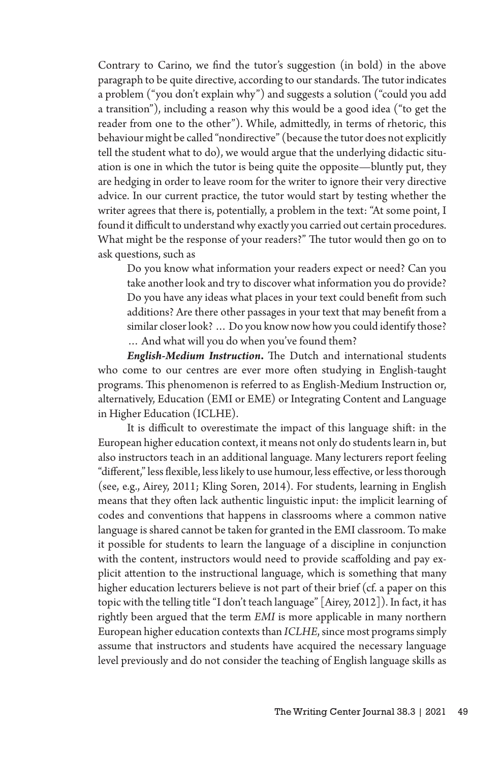Contrary to Carino, we find the tutor's suggestion (in bold) in the above paragraph to be quite directive, according to our standards. The tutor indicates a problem ("you don't explain why") and suggests a solution ("could you add a transition"), including a reason why this would be a good idea ("to get the reader from one to the other"). While, admittedly, in terms of rhetoric, this behaviour might be called "nondirective" (because the tutor does not explicitly tell the student what to do), we would argue that the underlying didactic situation is one in which the tutor is being quite the opposite—bluntly put, they are hedging in order to leave room for the writer to ignore their very directive advice. In our current practice, the tutor would start by testing whether the writer agrees that there is, potentially, a problem in the text: "At some point, I found it difficult to understand why exactly you carried out certain procedures. What might be the response of your readers?" The tutor would then go on to ask questions, such as

Do you know what information your readers expect or need? Can you take another look and try to discover what information you do provide? Do you have any ideas what places in your text could benefit from such additions? Are there other passages in your text that may benefit from a similar closer look? … Do you know now how you could identify those? … And what will you do when you've found them?

*English-Medium Instruction***.** The Dutch and international students who come to our centres are ever more often studying in English-taught programs. This phenomenon is referred to as English-Medium Instruction or, alternatively, Education (EMI or EME) or Integrating Content and Language in Higher Education (ICLHE).

It is difficult to overestimate the impact of this language shift: in the European higher education context, it means not only do students learn in, but also instructors teach in an additional language. Many lecturers report feeling "different," less flexible, less likely to use humour, less effective, or less thorough (see, e.g., Airey, 2011; Kling Soren, 2014). For students, learning in English means that they often lack authentic linguistic input: the implicit learning of codes and conventions that happens in classrooms where a common native language is shared cannot be taken for granted in the EMI classroom. To make it possible for students to learn the language of a discipline in conjunction with the content, instructors would need to provide scaffolding and pay explicit attention to the instructional language, which is something that many higher education lecturers believe is not part of their brief (cf. a paper on this topic with the telling title "I don't teach language" [Airey, 2012]). In fact, it has rightly been argued that the term *EMI* is more applicable in many northern European higher education contexts than *ICLHE*, since most programs simply assume that instructors and students have acquired the necessary language level previously and do not consider the teaching of English language skills as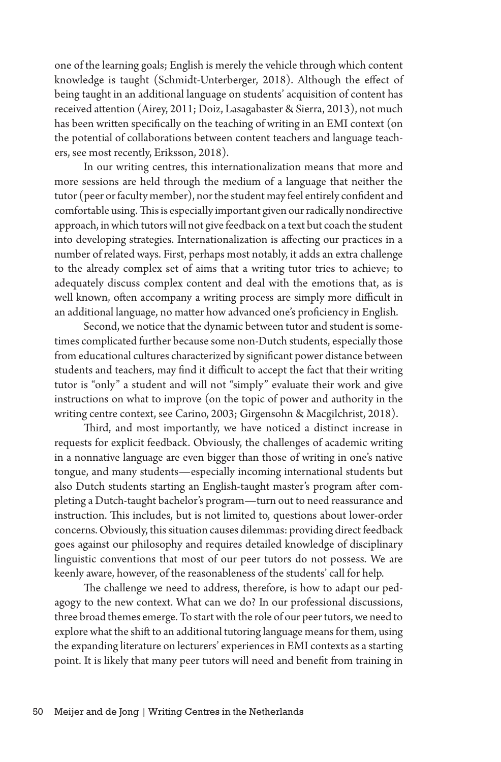one of the learning goals; English is merely the vehicle through which content knowledge is taught (Schmidt-Unterberger, 2018). Although the effect of being taught in an additional language on students' acquisition of content has received attention (Airey, 2011; Doiz, Lasagabaster & Sierra, 2013), not much has been written specifically on the teaching of writing in an EMI context (on the potential of collaborations between content teachers and language teachers, see most recently, Eriksson, 2018).

In our writing centres, this internationalization means that more and more sessions are held through the medium of a language that neither the tutor (peer or faculty member), nor the student may feel entirely confident and comfortable using. This is especially important given our radically nondirective approach, in which tutors will not give feedback on a text but coach the student into developing strategies. Internationalization is affecting our practices in a number of related ways. First, perhaps most notably, it adds an extra challenge to the already complex set of aims that a writing tutor tries to achieve; to adequately discuss complex content and deal with the emotions that, as is well known, often accompany a writing process are simply more difficult in an additional language, no matter how advanced one's proficiency in English.

Second, we notice that the dynamic between tutor and student is sometimes complicated further because some non-Dutch students, especially those from educational cultures characterized by significant power distance between students and teachers, may find it difficult to accept the fact that their writing tutor is "only" a student and will not "simply" evaluate their work and give instructions on what to improve (on the topic of power and authority in the writing centre context, see Carino, 2003; Girgensohn & Macgilchrist, 2018).

Third, and most importantly, we have noticed a distinct increase in requests for explicit feedback. Obviously, the challenges of academic writing in a nonnative language are even bigger than those of writing in one's native tongue, and many students—especially incoming international students but also Dutch students starting an English-taught master's program after completing a Dutch-taught bachelor's program—turn out to need reassurance and instruction. This includes, but is not limited to, questions about lower-order concerns. Obviously, this situation causes dilemmas: providing direct feedback goes against our philosophy and requires detailed knowledge of disciplinary linguistic conventions that most of our peer tutors do not possess. We are keenly aware, however, of the reasonableness of the students' call for help.

The challenge we need to address, therefore, is how to adapt our pedagogy to the new context. What can we do? In our professional discussions, three broad themes emerge. To start with the role of our peer tutors, we need to explore what the shift to an additional tutoring language means for them, using the expanding literature on lecturers' experiences in EMI contexts as a starting point. It is likely that many peer tutors will need and benefit from training in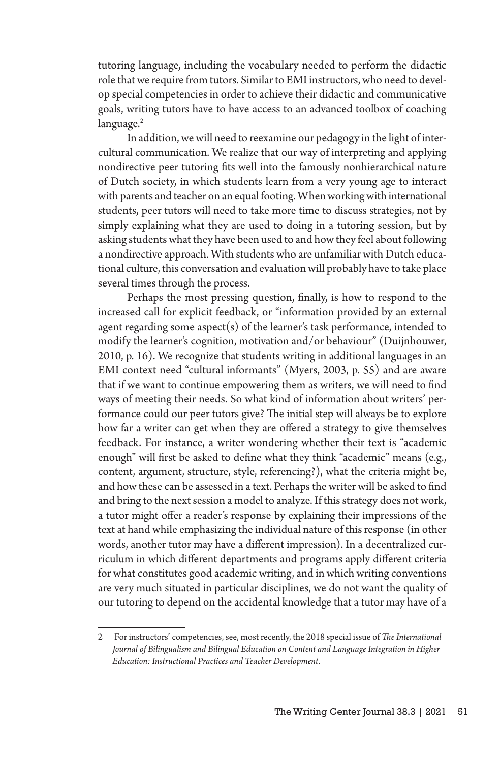tutoring language, including the vocabulary needed to perform the didactic role that we require from tutors. Similar to EMI instructors, who need to develop special competencies in order to achieve their didactic and communicative goals, writing tutors have to have access to an advanced toolbox of coaching language.<sup>2</sup>

In addition, we will need to reexamine our pedagogy in the light of intercultural communication. We realize that our way of interpreting and applying nondirective peer tutoring fits well into the famously nonhierarchical nature of Dutch society, in which students learn from a very young age to interact with parents and teacher on an equal footing. When working with international students, peer tutors will need to take more time to discuss strategies, not by simply explaining what they are used to doing in a tutoring session, but by asking students what they have been used to and how they feel about following a nondirective approach. With students who are unfamiliar with Dutch educational culture, this conversation and evaluation will probably have to take place several times through the process.

Perhaps the most pressing question, finally, is how to respond to the increased call for explicit feedback, or "information provided by an external agent regarding some aspect(s) of the learner's task performance, intended to modify the learner's cognition, motivation and/or behaviour" (Duijnhouwer, 2010, p. 16). We recognize that students writing in additional languages in an EMI context need "cultural informants" (Myers, 2003, p. 55) and are aware that if we want to continue empowering them as writers, we will need to find ways of meeting their needs. So what kind of information about writers' performance could our peer tutors give? The initial step will always be to explore how far a writer can get when they are offered a strategy to give themselves feedback. For instance, a writer wondering whether their text is "academic enough" will first be asked to define what they think "academic" means (e.g., content, argument, structure, style, referencing?), what the criteria might be, and how these can be assessed in a text. Perhaps the writer will be asked to find and bring to the next session a model to analyze. If this strategy does not work, a tutor might offer a reader's response by explaining their impressions of the text at hand while emphasizing the individual nature of this response (in other words, another tutor may have a different impression). In a decentralized curriculum in which different departments and programs apply different criteria for what constitutes good academic writing, and in which writing conventions are very much situated in particular disciplines, we do not want the quality of our tutoring to depend on the accidental knowledge that a tutor may have of a

<sup>2</sup> For instructors' competencies, see, most recently, the 2018 special issue of *The International Journal of Bilingualism and Bilingual Education on Content and Language Integration in Higher Education: Instructional Practices and Teacher Development*.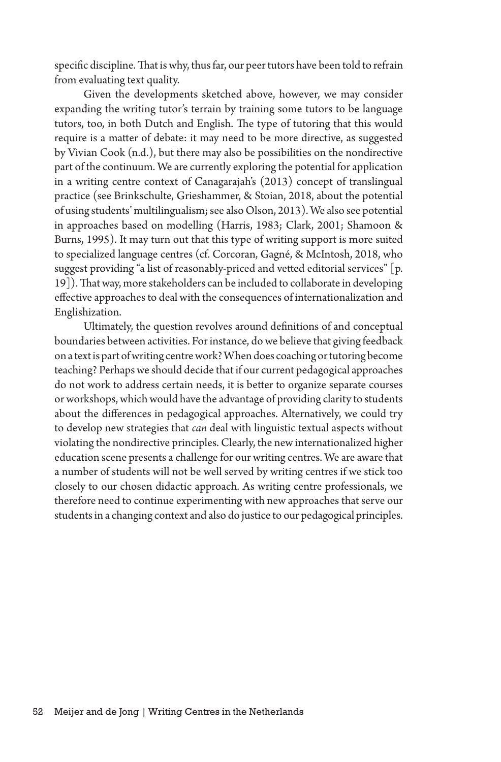specific discipline. That is why, thus far, our peer tutors have been told to refrain from evaluating text quality.

Given the developments sketched above, however, we may consider expanding the writing tutor's terrain by training some tutors to be language tutors, too, in both Dutch and English. The type of tutoring that this would require is a matter of debate: it may need to be more directive, as suggested by Vivian Cook (n.d.), but there may also be possibilities on the nondirective part of the continuum. We are currently exploring the potential for application in a writing centre context of Canagarajah's (2013) concept of translingual practice (see Brinkschulte, Grieshammer, & Stoian, 2018, about the potential of using students' multilingualism; see also Olson, 2013). We also see potential in approaches based on modelling (Harris, 1983; Clark, 2001; Shamoon & Burns, 1995). It may turn out that this type of writing support is more suited to specialized language centres (cf. Corcoran, Gagné, & McIntosh, 2018, who suggest providing "a list of reasonably-priced and vetted editorial services" [p. 19]). That way, more stakeholders can be included to collaborate in developing effective approaches to deal with the consequences of internationalization and Englishization.

Ultimately, the question revolves around definitions of and conceptual boundaries between activities. For instance, do we believe that giving feedback on a text is part of writing centre work? When does coaching or tutoring become teaching? Perhaps we should decide that if our current pedagogical approaches do not work to address certain needs, it is better to organize separate courses or workshops, which would have the advantage of providing clarity to students about the differences in pedagogical approaches. Alternatively, we could try to develop new strategies that *can* deal with linguistic textual aspects without violating the nondirective principles. Clearly, the new internationalized higher education scene presents a challenge for our writing centres. We are aware that a number of students will not be well served by writing centres if we stick too closely to our chosen didactic approach. As writing centre professionals, we therefore need to continue experimenting with new approaches that serve our students in a changing context and also do justice to our pedagogical principles.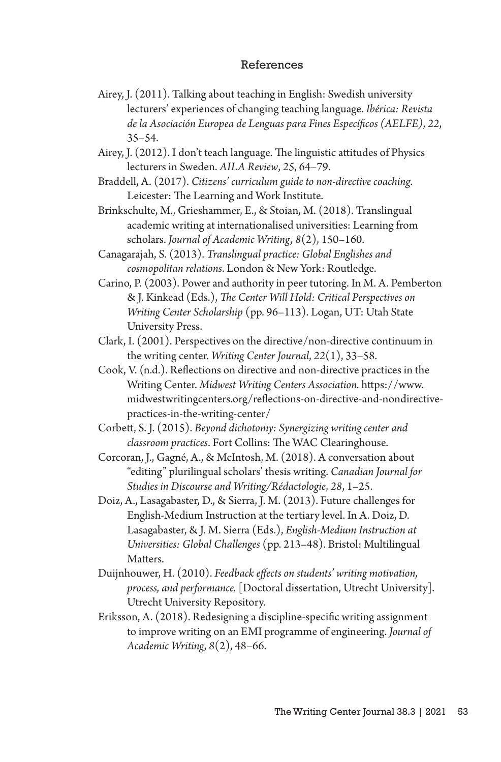## References

- Airey, J. (2011). Talking about teaching in English: Swedish university lecturers' experiences of changing teaching language. *Ibérica: Revista de la Asociación Europea de Lenguas para Fines Específicos (AELFE)*, *22*, 35–54.
- Airey, J. (2012). I don't teach language. The linguistic attitudes of Physics lecturers in Sweden. *AILA Review*, *25*, 64–79.
- Braddell, A. (2017). *Citizens' curriculum guide to non-directive coaching*. Leicester: The Learning and Work Institute.
- Brinkschulte, M., Grieshammer, E., & Stoian, M. (2018). Translingual academic writing at internationalised universities: Learning from scholars. *Journal of Academic Writing, 8*(2), 150–160.
- Canagarajah, S. (2013). *Translingual practice: Global Englishes and cosmopolitan relations*. London & New York: Routledge.
- Carino, P. (2003). Power and authority in peer tutoring. In M. A. Pemberton & J. Kinkead (Eds.), *The Center Will Hold: Critical Perspectives on Writing Center Scholarship* (pp. 96–113). Logan, UT: Utah State University Press.
- Clark, I. (2001). Perspectives on the directive/non-directive continuum in the writing center. *Writing Center Journal*, *22*(1), 33–58.
- Cook, V. (n.d.). Reflections on directive and non-directive practices in the Writing Center. *Midwest Writing Centers Association.* https://www. midwestwritingcenters.org/reflections-on-directive-and-nondirectivepractices-in-the-writing-center/
- Corbett, S. J. (2015). *Beyond dichotomy: Synergizing writing center and classroom practices*. Fort Collins: The WAC Clearinghouse.
- Corcoran, J., Gagné, A., & McIntosh, M. (2018). A conversation about "editing" plurilingual scholars' thesis writing. *Canadian Journal for Studies in Discourse and Writing/Rédactologie*, *28*, 1–25.
- Doiz, A., Lasagabaster, D., & Sierra, J. M. (2013). Future challenges for English-Medium Instruction at the tertiary level. In A. Doiz, D. Lasagabaster, & J. M. Sierra (Eds.), *English-Medium Instruction at Universities: Global Challenges* (pp. 213–48). Bristol: Multilingual Matters.
- Duijnhouwer, H. (2010). *Feedback effects on students' writing motivation, process, and performance.* [Doctoral dissertation, Utrecht University]. Utrecht University Repository.
- Eriksson, A. (2018). Redesigning a discipline-specific writing assignment to improve writing on an EMI programme of engineering. *Journal of Academic Writing*, *8*(2), 48–66.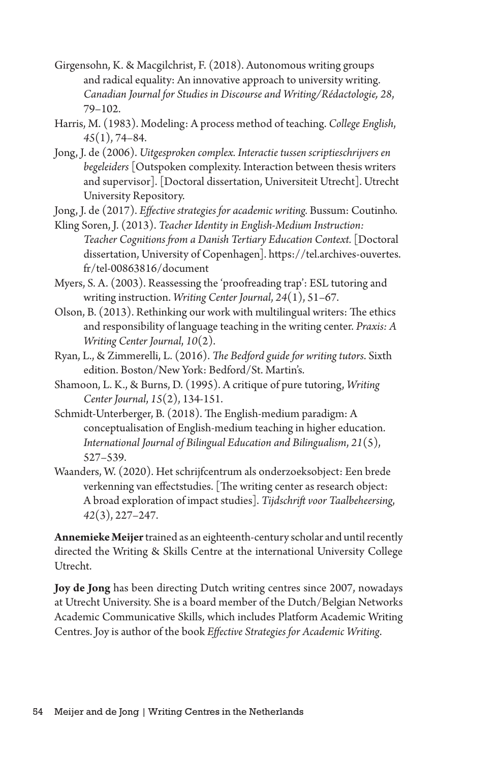- Girgensohn, K. & Macgilchrist, F. (2018). Autonomous writing groups and radical equality: An innovative approach to university writing. *Canadian Journal for Studies in Discourse and Writing/Rédactologie, 28*, 79–102.
- Harris, M. (1983). Modeling: A process method of teaching. *College English*, *45*(1), 74–84.
- Jong, J. de (2006). *Uitgesproken complex. Interactie tussen scriptieschrijvers en begeleiders* [Outspoken complexity. Interaction between thesis writers and supervisor]. [Doctoral dissertation, Universiteit Utrecht]. Utrecht University Repository.

Jong, J. de (2017). *Effective strategies for academic writing.* Bussum: Coutinho.

- Kling Soren, J. (2013). *Teacher Identity in English-Medium Instruction: Teacher Cognitions from a Danish Tertiary Education Context.* [Doctoral dissertation, University of Copenhagen]. https://tel.archives-ouvertes. fr/tel-00863816/document
- Myers, S. A. (2003). Reassessing the 'proofreading trap': ESL tutoring and writing instruction. *Writing Center Journal*, *24*(1), 51–67.
- Olson, B. (2013). Rethinking our work with multilingual writers: The ethics and responsibility of language teaching in the writing center. *Praxis: A Writing Center Journal*, *10*(2).
- Ryan, L., & Zimmerelli, L. (2016). *The Bedford guide for writing tutors*. Sixth edition. Boston/New York: Bedford/St. Martin's.
- Shamoon, L. K., & Burns, D. (1995). A critique of pure tutoring, *Writing Center Journal*, *15*(2), 134-151.
- Schmidt-Unterberger, B. (2018). The English-medium paradigm: A conceptualisation of English-medium teaching in higher education. *International Journal of Bilingual Education and Bilingualism*, *21*(5), 527–539.
- Waanders, W. (2020). Het schrijfcentrum als onderzoeksobject: Een brede verkenning van effectstudies. [The writing center as research object: A broad exploration of impact studies]. *Tijdschrift voor Taalbeheersing*, *42*(3), 227–247.

**Annemieke Meijer** trained as an eighteenth-century scholar and until recently directed the Writing & Skills Centre at the international University College Utrecht.

**Joy de Jong** has been directing Dutch writing centres since 2007, nowadays at Utrecht University. She is a board member of the Dutch/Belgian Networks Academic Communicative Skills, which includes Platform Academic Writing Centres. Joy is author of the book *Effective Strategies for Academic Writing*.